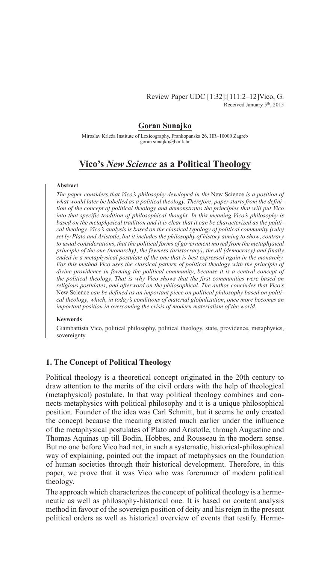Review Paper UDC [1:32]:[111:2–12]Vico, G. Received January 5<sup>th</sup>, 2015

# **Goran Sunajko**

Miroslav Krleža Institute of Lexicography, Frankopanska 26, HR–10000 Zagreb goran.sunajko@lzmk.hr

# **Vico's** *New Science* **as a Political Theology**

### **Abstract**

*The paper considers that Vico's philosophy developed in the* New Science *is a position of what would later be labelled as a political theology. Therefore*, *paper starts from the definition of the concept of political theology and demonstrates the principles that will put Vico into that specific tradition of philosophical thought. In this meaning Vico's philosophy is based on the metaphysical tradition and it is clear that it can be characterized as the political theology. Vico's analysis is based on the classical typology of political community (rule) set by Plato and Aristotle*, *but it includes the philosophy of history aiming to show*, *contrary to usual considerations*, *that the political forms of government moved from the metaphysical principle of the one (monarchy)*, *the fewness (aristocracy)*, *the all (democracy) and finally ended in a metaphysical postulate of the one that is best expressed again in the monarchy. For this method Vico uses the classical pattern of political theology with the principle of divine providence in forming the political community*, *because it is a central concept of the political theology. That is why Vico shows that the first communities were based on religious postulates*, *and afterword on the philosophical. The author concludes that Vico's*  New Science *can be defined as an important piece on political philosophy based on political theology*, *which*, *in today's conditions of material globalization*, *once more becomes an important position in overcoming the crisis of modern materialism of the world.*

#### **Keywords**

Giambattista Vico, political philosophy, political theology, state, providence, metaphysics, sovereignty

## **1. The Concept of Political Theology**

Political theology is a theoretical concept originated in the 20th century to draw attention to the merits of the civil orders with the help of theological (metaphysical) postulate. In that way political theology combines and connects metaphysics with political philosophy and it is a unique philosophical position. Founder of the idea was Carl Schmitt, but it seems he only created the concept because the meaning existed much earlier under the influence of the metaphysical postulates of Plato and Aristotle, through Augustine and Thomas Aquinas up till Bodin, Hobbes, and Rousseau in the modern sense. But no one before Vico had not, in such a systematic, historical-philosophical way of explaining, pointed out the impact of metaphysics on the foundation of human societies through their historical development. Therefore, in this paper, we prove that it was Vico who was forerunner of modern political theology.

The approach which characterizes the concept of political theology is a hermeneutic as well as philosophy-historical one. It is based on content analysis method in favour of the sovereign position of deity and his reign in the present political orders as well as historical overview of events that testify. Herme-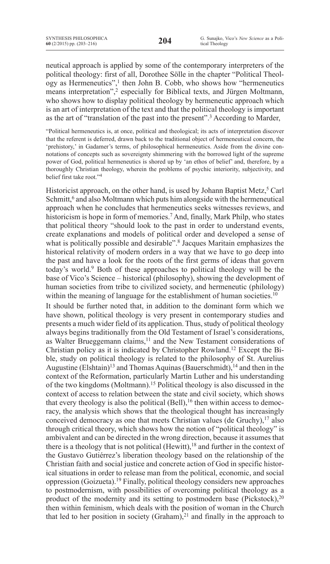neutical approach is applied by some of the contemporary interpreters of the political theology: first of all, Dorothee Sölle in the chapter "Political Theology as Hermeneutics", $<sup>1</sup>$  then John B. Cobb, who shows how "hermeneutics"</sup> means interpretation",<sup>2</sup> especially for Biblical texts, and Jürgen Moltmann, who shows how to display political theology by hermeneutic approach which is an art of interpretation of the text and that the political theology is important as the art of "translation of the past into the present".<sup>3</sup> According to Marder,

"Political hermeneutics is, at once, political and theological; its acts of interpretation discover that the referent is deferred, drawn back to the traditional object of hermeneutical concern, the 'prehistory,' in Gadamer's terms, of philosophical hermeneutics. Aside from the divine connotations of concepts such as sovereignty shimmering with the borrowed light of the supreme power of God, political hermeneutics is shored up by 'an ethos of belief' and, therefore, by a thoroughly Christian theology, wherein the problems of psychic interiority, subjectivity, and belief first take root."<sup>4</sup>

Historicist approach, on the other hand, is used by Johann Baptist Metz,<sup>5</sup> Carl Schmitt,<sup>6</sup> and also Moltmann which puts him alongside with the hermeneutical approach when he concludes that hermeneutics seeks witnesses reviews, and historicism is hope in form of memories.<sup>7</sup> And, finally, Mark Philp, who states that political theory "should look to the past in order to understand events, create explanations and models of political order and developed a sense of what is politically possible and desirable".<sup>8</sup> Jacques Maritain emphasizes the historical relativity of modern orders in a way that we have to go deep into the past and have a look for the roots of the first germs of ideas that govern today's world.9 Both of these approaches to political theology will be the base of Vico's Science – historical (philosophy), showing the development of human societies from tribe to civilized society, and hermeneutic (philology) within the meaning of language for the establishment of human societies.<sup>10</sup>

It should be further noted that, in addition to the dominant form which we have shown, political theology is very present in contemporary studies and presents a much wider field of its application. Thus, study of political theology always begins traditionally from the Old Testament of Israel's considerations, as Walter Brueggemann claims,<sup>11</sup> and the New Testament considerations of Christian policy as it is indicated by Christopher Rowland.12 Except the Bible, study on political theology is related to the philosophy of St. Aurelius Augustine (Elshtain)<sup>13</sup> and Thomas Aquinas (Bauerschmidt),<sup>14</sup> and then in the context of the Reformation, particularly Martin Luther and his understanding of the two kingdoms (Moltmann).15 Political theology is also discussed in the context of access to relation between the state and civil society, which shows that every theology is also the political  $(Bell)$ , <sup>16</sup> then within access to democracy, the analysis which shows that the theological thought has increasingly conceived democracy as one that meets Christian values (de Gruchy), $17$  also through critical theory, which shows how the notion of "political theology" is ambivalent and can be directed in the wrong direction, because it assumes that there is a theology that is not political (Hewitt), $18$  and further in the context of the Gustavo Gutiérrez's liberation theology based on the relationship of the Christian faith and social justice and concrete action of God in specific historical situations in order to release man from the political, economic, and social oppression (Goizueta).19 Finally, political theology considers new approaches to postmodernism, with possibilities of overcoming political theology as a product of the modernity and its setting to postmodern base (Pickstock), $20$ then within feminism, which deals with the position of woman in the Church that led to her position in society (Graham),<sup>21</sup> and finally in the approach to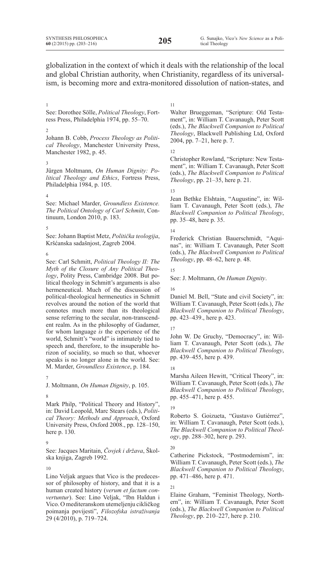globalization in the context of which it deals with the relationship of the local and global Christian authority, when Christianity, regardless of its universalism, is becoming more and extra-monitored dissolution of nation-states, and

#### 1

See: Dorothee Sölle, *Political Theology*, Fortress Press, Philadelphia 1974, pp. 55–70.

### 2

Johann B. Cobb, *Process Theology as Political Theology*, Manchester University Press, Manchester 1982, p. 45.

#### 3

Jürgen Moltmann, *On Human Dignity: Political Theology and Ethics*, Fortress Press, Philadelphia 1984, p. 105.

4

See: Michael Marder, *Groundless Existence. The Political Ontology of Carl Schmitt*, Continuum, London 2010, p. 183.

5

See: Johann Baptist Metz, *Politička teologija*, Kršćanska sadašnjost, Zagreb 2004.

6

See: Carl Schmitt, *Political Theology II: The Myth of the Closure of Any Political Theology*, Polity Press, Cambridge 2008. But political theology in Schmitt's arguments is also hermeneutical. Much of the discussion of political-theological hermeneutics in Schmitt revolves around the notion of the world that connotes much more than its theological sense referring to the secular, non-transcendent realm. As in the philosophy of Gadamer, for whom language *is* the experience of the world, Schmitt's "world" is intimately tied to speech and, therefore, to the insuperable horizon of sociality, so much so that, whoever speaks is no longer alone in the world. See: M. Marder, *Groundless Existence*, p. 184.

### 7

J. Moltmann, *On Human Dignity*, p. 105.

### 8

Mark Philp, "Political Theory and History", in: David Leopold, Marc Stears (eds.), *Political Theory: Methods and Approach*, Oxford University Press, Oxford 2008., pp. 128–150, here p. 130.

### 9

See: Jacques Maritain, *Čovjek i država*, Školska knjiga, Zagreb 1992.

10

Lino Veljak argues that Vico is the predecessor of philosophy of history, and that it is a human created history (*verum et factum convertuntur*). See: Lino Veljak, "Ibn Haldun i Vico. O mediteranskom utemeljenju cikličkog poimanja povijesti", *Filozofska istraživanja* 29 (4/2010), p. 719–724.

#### 11

Walter Brueggeman, "Scripture: Old Testament", in: William T. Cavanaugh, Peter Scott (eds.), *The Blackwell Companion to Political Theology*, Blackwell Publishing Ltd, Oxford 2004, pp. 7–21, here p. 7.

#### 12

Christopher Rowland, "Scripture: New Testament", in: William T. Cavanaugh, Peter Scott (eds.), *The Blackwell Companion to Political Theology*, pp. 21–35, here p. 21.

### 13

Jean Bethke Elshtain, "Augustine", in: William T. Cavanaugh, Peter Scott (eds.), *The Blackwell Companion to Political Theology*, pp. 35–48, here p. 35.

### 14

Frederick Christian Bauerschmidt, "Aquinas", in: William T. Cavanaugh, Peter Scott (eds.), *The Blackwell Companion to Political Theology*, pp. 48–62, here p. 48.

#### 15

See: J. Moltmann, *On Human Dignity*.

16

Daniel M. Bell, "State and civil Society", in: William T. Cavanaugh, Peter Scott (eds.), *The Blackwell Companion to Political Theology*, pp. 423–439., here p. 423.

17

John W. De Gruchy, "Democracy", in: William T. Cavanaugh, Peter Scott (eds.), *The Blackwell Companion to Political Theology*, pp. 439–455, here p. 439.

#### 18

Marsha Aileen Hewitt, "Critical Theory", in: William T. Cavanaugh, Peter Scott (eds.), *The Blackwell Companion to Political Theology*, pp. 455–471, here p. 455.

### 19

Roberto S. Goizueta, "Gustavo Gutiérrez", in: William T. Cavanaugh, Peter Scott (eds.), *The Blackwell Companion to Political Theology*, pp. 288–302, here p. 293.

20

Catherine Pickstock, "Postmodernism", in: William T. Cavanaugh, Peter Scott (eds.), *The Blackwell Companion to Political Theology*, pp. 471–486, here p. 471.

### $21$

Elaine Graham, "Feminist Theology, Northern", in: William T. Cavanaugh, Peter Scott (eds.), *The Blackwell Companion to Political Theology*, pp. 210–227, here p. 210.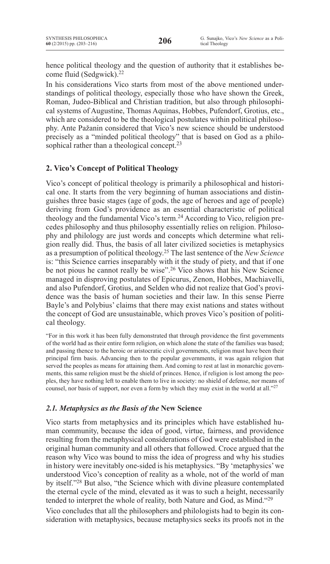hence political theology and the question of authority that it establishes become fluid (Sedgwick).22

In his considerations Vico starts from most of the above mentioned understandings of political theology, especially those who have shown the Greek, Roman, Judeo-Biblical and Christian tradition, but also through philosophical systems of Augustine, Thomas Aquinas, Hobbes, Pufendorf, Grotius, etc., which are considered to be the theological postulates within political philosophy. Ante Pažanin considered that Vico's new science should be understood precisely as a "minded political theology" that is based on God as a philosophical rather than a theological concept.<sup>23</sup>

# **2. Vico's Concept of Political Theology**

Vico's concept of political theology is primarily a philosophical and historical one. It starts from the very beginning of human associations and distinguishes three basic stages (age of gods, the age of heroes and age of people) deriving from God's providence as an essential characteristic of political theology and the fundamental Vico's term.<sup>24</sup> According to Vico, religion precedes philosophy and thus philosophy essentially relies on religion. Philosophy and philology are just words and concepts which determine what religion really did. Thus, the basis of all later civilized societies is metaphysics as a presumption of political theology.25 The last sentence of the *New Science* is: "this Science carries inseparably with it the study of piety, and that if one be not pious he cannot really be wise".<sup>26</sup> Vico shows that his New Science managed in disproving postulates of Epicurus, Zenon, Hobbes, Machiavelli, and also Pufendorf, Grotius, and Selden who did not realize that God's providence was the basis of human societies and their law. In this sense Pierre Bayle's and Polybius' claims that there may exist nations and states without the concept of God are unsustainable, which proves Vico's position of political theology.

"For in this work it has been fully demonstrated that through providence the first governments of the world had as their entire form religion, on which alone the state of the families was based; and passing thence to the heroic or aristocratic civil governments, religion must have been their principal firm basis. Advancing then to the popular governments, it was again religion that served the peoples as means for attaining them. And coming to rest at last in monarchic governments, this same religion must be the shield of princes. Hence, if religion is lost among the peoples, they have nothing left to enable them to live in society: no shield of defense, nor means of counsel, nor basis of support, nor even a form by which they may exist in the world at all." $27$ 

# *2.1. Metaphysics as the Basis of the* **New Science**

Vico starts from metaphysics and its principles which have established human community, because the idea of good, virtue, fairness, and providence resulting from the metaphysical considerations of God were established in the original human community and all others that followed. Croce argued that the reason why Vico was bound to miss the idea of progress and why his studies in history were inevitably one-sided is his metaphysics. "By 'metaphysics'we understood Vico's conception of reality as a whole, not of the world of man by itself."28 But also, "the Science which with divine pleasure contemplated the eternal cycle of the mind, elevated as it was to such a height, necessarily tended to interpret the whole of reality, both Nature and God, as Mind."29

Vico concludes that all the philosophers and philologists had to begin its consideration with metaphysics, because metaphysics seeks its proofs not in the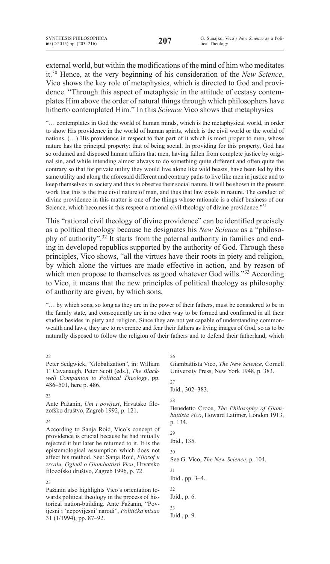external world, but within the modifications of the mind of him who meditates it.30 Hence, at the very beginning of his consideration of the *New Science*, Vico shows the key role of metaphysics, which is directed to God and providence. "Through this aspect of metaphysic in the attitude of ecstasy contemplates Him above the order of natural things through which philosophers have hitherto contemplated Him." In this *Science* Vico shows that metaphysics

"… contemplates in God the world of human minds, which is the metaphysical world, in order to show His providence in the world of human spirits, which is the civil world or the world of nations. (…) His providence in respect to that part of it which is most proper to men, whose nature has the principal property: that of being social. In providing for this property, God has so ordained and disposed human affairs that men, having fallen from complete justice by original sin, and while intending almost always to do something quite different and often quite the contrary so that for private utility they would live alone like wild beasts, have been led by this same utility and along the aforesaid different and contrary paths to live like men in justice and to keep themselves in society and thus to observe their social nature. It will be shown in the present work that this is the true civil nature of man, and thus that law exists in nature. The conduct of divine providence in this matter is one of the things whose rationale is a chief business of our Science, which becomes in this respect a rational civil theology of divine providence."<sup>31</sup>

This "rational civil theology of divine providence" can be identified precisely as a political theology because he designates his *New Science* as a "philosophy of authority".32 It starts from the paternal authority in families and ending in developed republics supported by the authority of God. Through these principles, Vico shows, "all the virtues have their roots in piety and religion, by which alone the virtues are made effective in action, and by reason of which men propose to themselves as good whatever God wills."<sup>33</sup> According to Vico, it means that the new principles of political theology as philosophy of authority are given, by which sons,

"… by which sons, so long as they are in the power of their fathers, must be considered to be in the family state, and consequently are in no other way to be formed and confirmed in all their studies besides in piety and religion. Since they are not yet capable of understanding commonwealth and laws, they are to reverence and fear their fathers as living images of God, so as to be naturally disposed to follow the religion of their fathers and to defend their fatherland, which

### $22$

Peter Sedgwick, "Globalization", in: William T. Cavanaugh, Peter Scott (eds.), *The Blackwell Companion to Political Theology*, pp. 486–501, here p. 486.

### 23

Ante Pažanin, *Um i povijest*, Hrvatsko filozofsko društvo, Zagreb 1992, p. 121.

### $24$

According to Sanja Roić, Vico's concept of providence is crucial because he had initially rejected it but later he returned to it. It is the epistemological assumption which does not affect his method. See: Sanja Roić, *Filozof u zrcalu. Ogledi o Giambattisti Vicu*, Hrvatsko filozofsko društvo, Zagreb 1996, p. 72.

25 Pažanin also highlights Vico's orientation towards political theology in the process of historical nation-building. Ante Pažanin, "Povijesni i 'nepovijesni' narodi", *Politička misao* 31 (1/1994), pp. 87–92.

26

Giambattista Vico, *The New Science*, Cornell University Press, New York 1948, p. 383.

27 Ibid., 302–383. 28 Benedetto Croce, *The Philosophy of Giambattista Vico*, Howard Latimer, London 1913, p. 134. 29 Ibid., 135. 30 See G. Vico, *The New Science*, p. 104. 31 Ibid., pp. 3–4. 32 Ibid., p. 6. 33 Ibid., p. 9.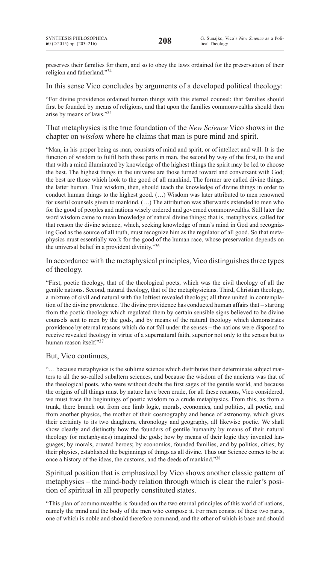preserves their families for them, and so to obey the laws ordained for the preservation of their religion and fatherland."34

In this sense Vico concludes by arguments of a developed political theology:

"For divine providence ordained human things with this eternal counsel; that families should first be founded by means of religions, and that upon the families commonwealths should then arise by means of laws."35

## That metaphysics is the true foundation of the *New Science* Vico shows in the chapter on *wisdom* where he claims that man is pure mind and spirit.

"Man, in his proper being as man, consists of mind and spirit, or of intellect and will. It is the function of wisdom to fulfil both these parts in man, the second by way of the first, to the end that with a mind illuminated by knowledge of the highest things the spirit may be led to choose the best. The highest things in the universe are those turned toward and conversant with God; the best are those which look to the good of all mankind. The former are called divine things, the latter human. True wisdom, then, should teach the knowledge of divine things in order to conduct human things to the highest good. (…) Wisdom was later attributed to men renowned for useful counsels given to mankind. (…) The attribution was afterwards extended to men who for the good of peoples and nations wisely ordered and governed commonwealths. Still later the word wisdom came to mean knowledge of natural divine things; that is, metaphysics, called for that reason the divine science, which, seeking knowledge of man's mind in God and recognizing God as the source of all truth, must recognize him as the regulator of all good. So that metaphysics must essentially work for the good of the human race, whose preservation depends on the universal belief in a provident divinity."<sup>36</sup>

# In accordance with the metaphysical principles, Vico distinguishes three types of theology.

"First, poetic theology, that of the theological poets, which was the civil theology of all the gentile nations. Second, natural theology, that of the metaphysicians. Third, Christian theology, a mixture of civil and natural with the loftiest revealed theology; all three united in contemplation of the divine providence. The divine providence has conducted human affairs that – starting from the poetic theology which regulated them by certain sensible signs believed to be divine counsels sent to men by the gods, and by means of the natural theology which demonstrates providence by eternal reasons which do not fall under the senses – the nations were disposed to receive revealed theology in virtue of a supernatural faith, superior not only to the senses but to human reason itself."<sup>3</sup>

## But, Vico continues,

"… because metaphysics is the sublime science which distributes their determinate subject matters to all the so-called subaltern sciences, and because the wisdom of the ancients was that of the theological poets, who were without doubt the first sages of the gentile world, and because the origins of all things must by nature have been crude, for all these reasons, Vico considered, we must trace the beginnings of poetic wisdom to a crude metaphysics. From this, as from a trunk, there branch out from one limb logic, morals, economics, and politics, all poetic, and from another physics, the mother of their cosmography and hence of astronomy, which gives their certainty to its two daughters, chronology and geography, all likewise poetic. We shall show clearly and distinctly how the founders of gentile humanity by means of their natural theology (or metaphysics) imagined the gods; how by means of their logic they invented languages; by morals, created heroes; by economics, founded families, and by politics, cities; by their physics, established the beginnings of things as all divine. Thus our Science comes to be at once a history of the ideas, the customs, and the deeds of mankind."38

# Spiritual position that is emphasized by Vico shows another classic pattern of metaphysics – the mind-body relation through which is clear the ruler's position of spiritual in all properly constituted states.

"This plan of commonwealths is founded on the two eternal principles of this world of nations, namely the mind and the body of the men who compose it. For men consist of these two parts, one of which is noble and should therefore command, and the other of which is base and should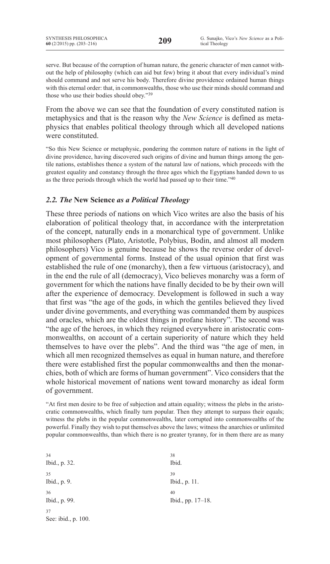serve. But because of the corruption of human nature, the generic character of men cannot without the help of philosophy (which can aid but few) bring it about that every individual's mind should command and not serve his body. Therefore divine providence ordained human things with this eternal order: that, in commonwealths, those who use their minds should command and those who use their bodies should obey."<sup>39</sup>

From the above we can see that the foundation of every constituted nation is metaphysics and that is the reason why the *New Science* is defined as metaphysics that enables political theology through which all developed nations were constituted.

"So this New Science or metaphysic, pondering the common nature of nations in the light of divine providence, having discovered such origins of divine and human things among the gentile nations, establishes thence a system of the natural law of nations, which proceeds with the greatest equality and constancy through the three ages which the Egyptians handed down to us as the three periods through which the world had passed up to their time."40

# *2.2. The* **New Science** *as a Political Theology*

These three periods of nations on which Vico writes are also the basis of his elaboration of political theology that, in accordance with the interpretation of the concept, naturally ends in a monarchical type of government. Unlike most philosophers (Plato, Aristotle, Polybius, Bodin, and almost all modern philosophers) Vico is genuine because he shows the reverse order of development of governmental forms. Instead of the usual opinion that first was established the rule of one (monarchy), then a few virtuous (aristocracy), and in the end the rule of all (democracy), Vico believes monarchy was a form of government for which the nations have finally decided to be by their own will after the experience of democracy. Development is followed in such a way that first was "the age of the gods, in which the gentiles believed they lived under divine governments, and everything was commanded them by auspices and oracles, which are the oldest things in profane history". The second was "the age of the heroes, in which they reigned everywhere in aristocratic commonwealths, on account of a certain superiority of nature which they held themselves to have over the plebs". And the third was "the age of men, in which all men recognized themselves as equal in human nature, and therefore there were established first the popular commonwealths and then the monarchies, both of which are forms of human government". Vico considers that the whole historical movement of nations went toward monarchy as ideal form of government.

"At first men desire to be free of subjection and attain equality; witness the plebs in the aristocratic commonwealths, which finally turn popular. Then they attempt to surpass their equals; witness the plebs in the popular commonwealths, later corrupted into commonwealths of the powerful. Finally they wish to put themselves above the laws; witness the anarchies or unlimited popular commonwealths, than which there is no greater tyranny, for in them there are as many

34 Ibid., p. 32. 35 Ibid., p. 9. 36 Ibid., p. 99. 37 See: ibid., p. 100. 38 Ibid. 39 Ibid., p. 11. 40 Ibid., pp. 17–18.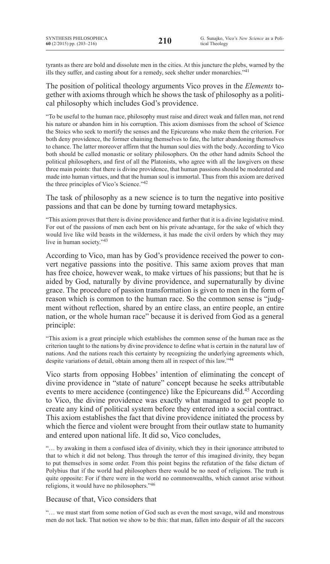tyrants as there are bold and dissolute men in the cities. At this juncture the plebs, warned by the ills they suffer, and casting about for a remedy, seek shelter under monarchies."<sup>41</sup>

The position of political theology arguments Vico proves in the *Elements* together with axioms through which he shows the task of philosophy as a political philosophy which includes God's providence.

"To be useful to the human race, philosophy must raise and direct weak and fallen man, not rend his nature or abandon him in his corruption. This axiom dismisses from the school of Science the Stoics who seek to mortify the senses and the Epicureans who make them the criterion. For both deny providence, the former chaining themselves to fate, the latter abandoning themselves to chance. The latter moreover affirm that the human soul dies with the body. According to Vico both should be called monastic or solitary philosophers. On the other hand admits School the political philosophers, and first of all the Platonists, who agree with all the lawgivers on these three main points: that there is divine providence, that human passions should be moderated and made into human virtues, and that the human soul is immortal. Thus from this axiom are derived the three principles of Vico's Science."42

The task of philosophy as a new science is to turn the negative into positive passions and that can be done by turning toward metaphysics.

"This axiom proves that there is divine providence and further that it is a divine legislative mind. For out of the passions of men each bent on his private advantage, for the sake of which they would live like wild beasts in the wilderness, it has made the civil orders by which they may live in human society."<sup>43</sup>

According to Vico, man has by God's providence received the power to convert negative passions into the positive. This same axiom proves that man has free choice, however weak, to make virtues of his passions; but that he is aided by God, naturally by divine providence, and supernaturally by divine grace. The procedure of passion transformation is given to men in the form of reason which is common to the human race. So the common sense is "judgment without reflection, shared by an entire class, an entire people, an entire nation, or the whole human race" because it is derived from God as a general principle:

"This axiom is a great principle which establishes the common sense of the human race as the criterion taught to the nations by divine providence to define what is certain in the natural law of nations. And the nations reach this certainty by recognizing the underlying agreements which, despite variations of detail, obtain among them all in respect of this law."<sup>44</sup>

Vico starts from opposing Hobbes' intention of eliminating the concept of divine providence in "state of nature" concept because he seeks attributable events to mere accidence (contingence) like the Epicureans did.45 According to Vico, the divine providence was exactly what managed to get people to create any kind of political system before they entered into a social contract. This axiom establishes the fact that divine providence initiated the process by which the fierce and violent were brought from their outlaw state to humanity and entered upon national life. It did so, Vico concludes,

"… by awaking in them a confused idea of divinity, which they in their ignorance attributed to that to which it did not belong. Thus through the terror of this imagined divinity, they began to put themselves in some order. From this point begins the refutation of the false dictum of Polybius that if the world had philosophers there would be no need of religions. The truth is quite opposite: For if there were in the world no commonwealths, which cannot arise without religions, it would have no philosophers."<sup>46</sup>

## Because of that, Vico considers that

"… we must start from some notion of God such as even the most savage, wild and monstrous men do not lack. That notion we show to be this: that man, fallen into despair of all the succors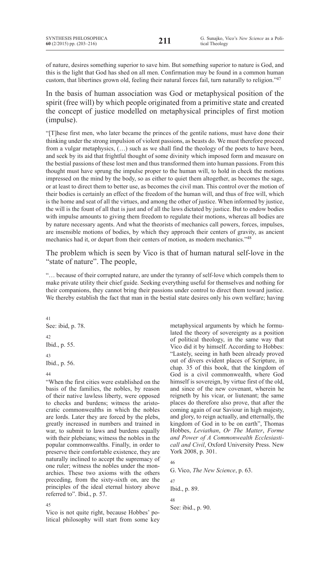of nature, desires something superior to save him. But something superior to nature is God, and this is the light that God has shed on all men. Confirmation may be found in a common human custom, that libertines grown old, feeling their natural forces fail, turn naturally to religion."47

In the basis of human association was God or metaphysical position of the spirit (free will) by which people originated from a primitive state and created the concept of justice modelled on metaphysical principles of first motion (impulse).

"[T]hese first men, who later became the princes of the gentile nations, must have done their thinking under the strong impulsion of violent passions, as beasts do. We must therefore proceed from a vulgar metaphysics,  $(\ldots)$  such as we shall find the theology of the poets to have been. and seek by its aid that frightful thought of some divinity which imposed form and measure on the bestial passions of these lost men and thus transformed them into human passions. From this thought must have sprung the impulse proper to the human will, to hold in check the motions impressed on the mind by the body, so as either to quiet them altogether, as becomes the sage, or at least to direct them to better use, as becomes the civil man. This control over the motion of their bodies is certainly an effect of the freedom of the human will, and thus of free will, which is the home and seat of all the virtues, and among the other of justice. When informed by justice, the will is the fount of all that is just and of all the laws dictated by justice. But to endow bodies with impulse amounts to giving them freedom to regulate their motions, whereas all bodies are by nature necessary agents. And what the theorists of mechanics call powers, forces, impulses, are insensible motions of bodies, by which they approach their centers of gravity, as ancient mechanics had it, or depart from their centers of motion, as modern mechanics."48

The problem which is seen by Vico is that of human natural self-love in the "state of nature". The people,

"… because of their corrupted nature, are under the tyranny of self-love which compels them to make private utility their chief guide. Seeking everything useful for themselves and nothing for their companions, they cannot bring their passions under control to direct them toward justice. We thereby establish the fact that man in the bestial state desires only his own welfare; having

41 See: ibid, p. 78. 42 Ibid., p. 55. 43 Ibid., p. 56. 44

"When the first cities were established on the basis of the families, the nobles, by reason of their native lawless liberty, were opposed to checks and burdens; witness the aristocratic commonwealths in which the nobles are lords. Later they are forced by the plebs, greatly increased in numbers and trained in war, to submit to laws and burdens equally with their plebeians; witness the nobles in the popular commonwealths. Finally, in order to preserve their comfortable existence, they are naturally inclined to accept the supremacy of one ruler; witness the nobles under the monarchies. These two axioms with the others preceding, from the sixty-sixth on, are the principles of the ideal eternal history above referred to". Ibid., p. 57.

45

Vico is not quite right, because Hobbes' political philosophy will start from some key metaphysical arguments by which he formulated the theory of sovereignty as a position of political theology, in the same way that Vico did it by himself. According to Hobbes: "Lastely, seeing in hath been already proved out of divers evident places of Scripture, in chap. 35 of this book, that the kingdom of God is a civil commonwealth, where God himself is sovereign, by virtue first of the old, and since of the new covenant, wherein he reigneth by his vicar, or liutenant; the same places do therefore also prove, that after the coming again of our Saviour in high majesty, and glory, to reign actually, and etternally, the kingdom of God in to be on earth", Thomas Hobbes, *Leviathan*, *Or The Matter*, *Forme and Power of A Commonwealth Ecclesiasticall and Civil*, Oxford University Press. New York 2008, p. 301.

46

G. Vico, *The New Science*, p. 63.

47 Ibid., p. 89.

48 See: ibid., p. 90.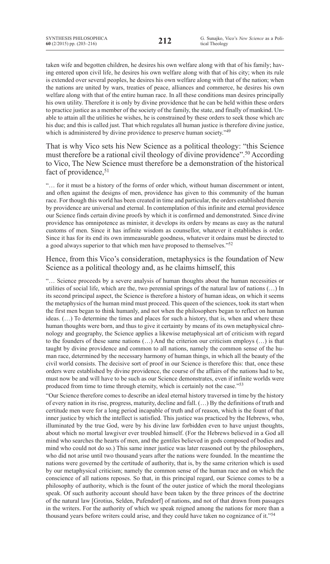taken wife and begotten children, he desires his own welfare along with that of his family; having entered upon civil life, he desires his own welfare along with that of his city; when its rule is extended over several peoples, he desires his own welfare along with that of the nation; when the nations are united by wars, treaties of peace, alliances and commerce, he desires his own welfare along with that of the entire human race. In all these conditions man desires principally his own utility. Therefore it is only by divine providence that he can be held within these orders to practice justice as a member of the society of the family, the state, and finally of mankind. Unable to attain all the utilities he wishes, he is constrained by these orders to seek those which arc his due; and this is called just. That which regulates all human justice is therefore divine justice, which is administered by divine providence to preserve human society."<sup>49</sup>

# That is why Vico sets his New Science as a political theology: "this Science must therefore be a rational civil theology of divine providence".50 According to Vico, The New Science must therefore be a demonstration of the historical fact of providence, 51

"… for it must be a history of the forms of order which, without human discernment or intent, and often against the designs of men, providence has given to this community of the human race. For though this world has been created in time and particular, the orders established therein by providence are universal and eternal. In contemplation of this infinite and eternal providence our Science finds certain divine proofs by which it is confirmed and demonstrated. Since divine providence has omnipotence as minister, it develops its orders by means as easy as the natural customs of men. Since it has infinite wisdom as counsellor, whatever it establishes is order. Since it has for its end its own immeasurable goodness, whatever it ordains must be directed to a good always superior to that which men have proposed to themselves."52

# Hence, from this Vico's consideration, metaphysics is the foundation of New Science as a political theology and, as he claims himself, this

"… Science proceeds by a severe analysis of human thoughts about the human necessities or utilities of social life, which are the, two perennial springs of the natural law of nations (…) In its second principal aspect, the Science is therefore a history of human ideas, on which it seems the metaphysics of the human mind must proceed. This queen of the sciences, took its start when the first men began to think humanly, and not when the philosophers began to reflect on human ideas. (…) To determine the times and places for such a history, that is, when and where these human thoughts were born, and thus to give it certainty by means of its own metaphysical chronology and geography, the Science applies a likewise metaphysical art of criticism with regard to the founders of these same nations  $(...)$  And the criterion our criticism employs  $(...)$  is that taught by divine providence and common to all nations, namely the common sense of the human race, determined by the necessary harmony of human things, in which all the beauty of the civil world consists. The decisive sort of proof in our Science is therefore this: that, once these orders were established by divine providence, the course of the affairs of the nations had to be, must now be and will have to be such as our Science demonstrates, even if infinite worlds were produced from time to time through eternity, which is certainly not the case."<sup>53</sup>

"Our Science therefore comes to describe an ideal eternal history traversed in time by the history of every nation in its rise, progress, maturity, decline and fall. (…) By the definitions of truth and certitude men were for a long period incapable of truth and of reason, which is the fount of that inner justice by which the intellect is satisfied. This justice was practiced by the Hebrews, who, illuminated by the true God, were by his divine law forbidden even to have unjust thoughts, about which no mortal lawgiver ever troubled himself. (For the Hebrews believed in a God all mind who searches the hearts of men, and the gentiles believed in gods composed of bodies and mind who could not do so.) This same inner justice was later reasoned out by the philosophers, who did not arise until two thousand years after the nations were founded. In the meantime the nations were governed by the certitude of authority, that is, by the same criterion which is used by our metaphysical criticism; namely the common sense of the human race and on which the conscience of all nations reposes. So that, in this principal regard, our Science comes to be a philosophy of authority, which is the fount of the outer justice of which the moral theologians speak. Of such authority account should have been taken by the three princes of the doctrine of the natural law [Grotius, Selden, Pufendorf] of nations, and not of that drawn from passages in the writers. For the authority of which we speak reigned among the nations for more than a thousand years before writers could arise, and they could have taken no cognizance of it."<sup>54</sup>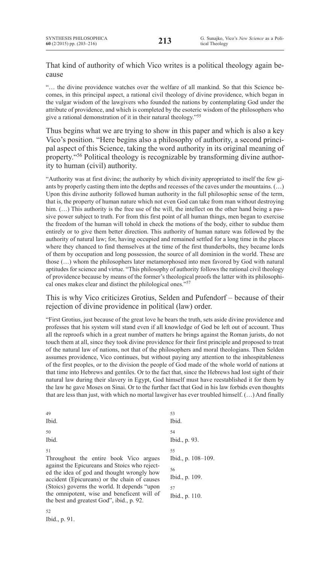# That kind of authority of which Vico writes is a political theology again because

"… the divine providence watches over the welfare of all mankind. So that this Science becomes, in this principal aspect, a rational civil theology of divine providence, which began in the vulgar wisdom of the lawgivers who founded the nations by contemplating God under the attribute of providence, and which is completed by the esoteric wisdom of the philosophers who give a rational demonstration of it in their natural theology."<sup>55</sup>

Thus begins what we are trying to show in this paper and which is also a key Vico's position. "Here begins also a philosophy of authority, a second principal aspect of this Science, taking the word authority in its original meaning of property."56 Political theology is recognizable by transforming divine authority to human (civil) authority.

"Authority was at first divine; the authority by which divinity appropriated to itself the few giants by properly casting them into the depths and recesses of the caves under the mountains. (…) Upon this divine authority followed human authority in the full philosophic sense of the term, that is, the property of human nature which not even God can take from man without destroying him.  $(...)$  This authority is the free use of the will, the intellect on the other hand being a passive power subject to truth. For from this first point of all human things, men began to exercise the freedom of the human will tohold in check the motions of the body, either to subdue them entirely or to give them better direction. This authority of human nature was followed by the authority of natural law; for, having occupied and remained settled for a long time in the places where they chanced to find themselves at the time of the first thunderbolts, they became lords of them by occupation and long possession, the source of all dominion in the world. These are those (…) whom the philosophers later metamorphosed into men favored by God with natural aptitudes for science and virtue. "This philosophy of authority follows the rational civil theology of providence because by means of the former's theological proofs the latter with its philosophical ones makes clear and distinct the philological ones."57

This is why Vico criticizes Grotius, Selden and Pufendorf – because of their rejection of divine providence in political (law) order.

"First Grotius, just because of the great love he bears the truth, sets aside divine providence and professes that his system will stand even if all knowledge of God be left out of account. Thus all the reproofs which in a great number of matters he brings against the Roman jurists, do not touch them at all, since they took divine providence for their first principle and proposed to treat of the natural law of nations, not that of the philosophers and moral theologians. Then Selden assumes providence, Vico continues, but without paying any attention to the inhospitableness of the first peoples, or to the division the people of God made of the whole world of nations at that time into Hebrews and gentiles. Or to the fact that, since the Hebrews had lost sight of their natural law during their slavery in Egypt, God himself must have reestablished it for them by the law he gave Moses on Sinai. Or to the further fact that God in his law forbids even thoughts that are less than just, with which no mortal lawgiver has ever troubled himself. (…) And finally

| 49                                                                                                                                                                                          | 53                                               |
|---------------------------------------------------------------------------------------------------------------------------------------------------------------------------------------------|--------------------------------------------------|
| Ibid.                                                                                                                                                                                       | Ibid.                                            |
| 50<br>Ibid.                                                                                                                                                                                 | 54<br>Ibid., p. 93.                              |
| 51<br>Throughout the entire book Vico argues<br>against the Epicureans and Stoics who reject-<br>ed the idea of god and thought wrongly how<br>accident (Epicureans) or the chain of causes | 55<br>Ibid., p. 108-109.<br>56<br>Ibid., p. 109. |
| (Stoics) governs the world. It depends "upon"<br>the omnipotent, wise and beneficent will of<br>the best and greatest God", ibid., p. 92.                                                   | 57<br>Ibid., p. 110.                             |

52 Ibid., p. 91.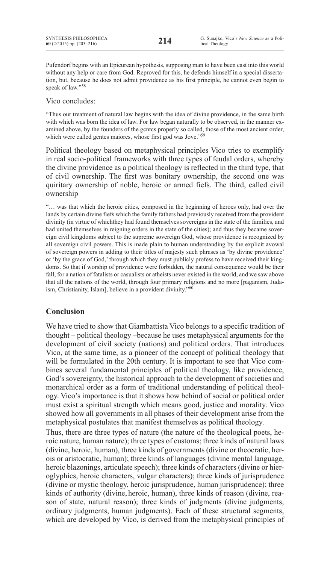Pufendorf begins with an Epicurean hypothesis, supposing man to have been cast into this world without any help or care from God. Reproved for this, he defends himself in a special dissertation, but, because he does not admit providence as his first principle, he cannot even begin to speak of law."58

Vico concludes:

"Thus our treatment of natural law begins with the idea of divine providence, in the same birth with which was born the idea of law. For law began naturally to be observed, in the manner examined above, by the founders of the gcntcs properly so called, those of the most ancient order, which were called gentes maiores, whose first god was Jove."59

Political theology based on metaphysical principles Vico tries to exemplify in real socio-political frameworks with three types of feudal orders, whereby the divine providence as a political theology is reflected in the third type, that of civil ownership. The first was bonitary ownership, the second one was quiritary ownership of noble, heroic or armed fiefs. The third, called civil ownership

"… was that which the heroic cities, composed in the beginning of heroes only, had over the lands by certain divine fiefs which the family fathers had previously received from the provident divinity (in virtue of whichthey had found themselves sovereigns in the state of the families, and had united themselves in reigning orders in the state of the cities); and thus they became sovereign civil kingdoms subject to the supreme sovereign God, whose providence is recognized by all sovereign civil powers. This is made plain to human understanding by the explicit avowal of sovereign powers in adding to their titles of majesty such phrases as 'by divine providence' or 'by the grace of God,' through which they must publicly profess to have received their kingdoms. So that if worship of providence were forbidden, the natural consequence would be their fall, for a nation of fatalists or casualists or atheists never existed in the world, and we saw above that all the nations of the world, through four primary religions and no more [paganism, Judaism, Christianity, Islam], believe in a provident divinity."<sup>60</sup>

# **Conclusion**

We have tried to show that Giambattista Vico belongs to a specific tradition of thought – political theology –because he uses metaphysical arguments for the development of civil society (nations) and political orders. That introduces Vico, at the same time, as a pioneer of the concept of political theology that will be formulated in the 20th century. It is important to see that Vico combines several fundamental principles of political theology, like providence, God's sovereignty, the historical approach to the development of societies and monarchical order as a form of traditional understanding of political theology. Vico's importance is that it shows how behind of social or political order must exist a spiritual strength which means good, justice and morality. Vico showed how all governments in all phases of their development arise from the metaphysical postulates that manifest themselves as political theology.

Thus, there are three types of nature (the nature of the theological poets, heroic nature, human nature); three types of customs; three kinds of natural laws (divine, heroic, human), three kinds of governments (divine or theocratic, herois or aristocratic, human); three kinds of languages (divine mental language, heroic blazonings, articulate speech); three kinds of characters (divine or hieroglyphics, heroic characters, vulgar characters); three kinds of jurisprudence (divine or mystic theology, heroic jurisprudence, human jurisprudence); three kinds of authority (divine, heroic, human), three kinds of reason (divine, reason of state, natural reason); three kinds of judgments (divine judgments, ordinary judgments, human judgments). Each of these structural segments, which are developed by Vico, is derived from the metaphysical principles of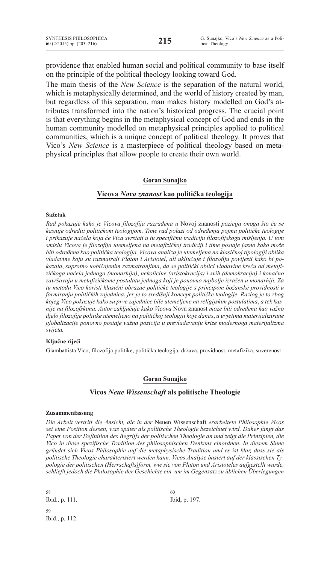providence that enabled human social and political community to base itself on the principle of the political theology looking toward God.

The main thesis of the *New Science* is the separation of the natural world, which is metaphysically determined, and the world of history created by man, but regardless of this separation, man makes history modelled on God's attributes transformed into the nation's historical progress. The crucial point is that everything begins in the metaphysical concept of God and ends in the human community modelled on metaphysical principles applied to political communities, which is a unique concept of political theology. It proves that Vico's *New Science* is a masterpiece of political theology based on metaphysical principles that allow people to create their own world.

### **Goran Sunajko**

### **Vicova** *Nova znanost* **kao politička teologija**

### **Sažetak**

*Rad pokazuje kako je Vicova filozofija razrađena u* Novoj znanosti *pozicija onoga što će se kasnije odrediti političkom teologijom. Time rad polazi od određenja pojma političke teologije i prikazuje načela koja će Vica svrstati u tu specifičnu tradiciju filozofijskoga mišljenja. U tom smislu Vicova je filozofija utemeljena na metafizičkoj tradiciji i time postaje jasno kako može biti određena kao politička teologija. Vicova analiza je utemeljena na klasičnoj tipologiji oblika vladavine koju su razmatrali Platon i Aristotel*, *ali uključuje i filozofiju povijesti kako bi pokazala*, *suprotno uobičajenim razmatranjima*, *da se politički oblici vladavine kreću od metafizičkoga načela jednoga (monarhija)*, *nekolicine (aristokracija) i svih (demokracija) i konačno završavaju u metafizičkome postulatu jednoga koji je ponovno najbolje izražen u monarhiji. Za tu metodu Vico koristi klasični obrazac političke teologije s principom božanske providnosti u formiranju političkih zajednica*, *jer je to središnji koncept političke teologije. Razlog je to zbog kojeg Vico pokazuje kako su prve zajednice bile utemeljene na religijskim postulatima*, *a tek kasnije na filozofskima. Autor zaključuje kako Vicova* Nova znanost *može biti određena kao važno djelo filozofije politike utemeljeno na političkoj teologiji koje danas*, *u uvjetima materijalizirane globalizacije ponovno postaje važna pozicija u prevladavanju krize modernoga materijalizma svijeta.*

### **Ključne riječi**

Giambattista Vico, filozofija politike, politička teologija, država, providnost, metafizika, suverenost

### **Goran Sunajko**

### **Vicos** *Neue Wissenschaft* **als politische Theologie**

#### **Zusammenfassung**

*Die Arbeit vertritt die Ansicht, die in der* Neuen Wissenschaft *erarbeitete Philosophie Vicos sei eine Position dessen, was später als politische Theologie bezeichnet wird. Daher fängt das Paper von der Definition des Begriffs der politischen Theologie an und zeigt die Prinzipien, die Vico in diese spezifische Tradition des philosophischen Denkens einordnen. In diesem Sinne gründet sich Vicos Philosophie auf die metaphysische Tradition und es ist klar, dass sie als politische Theologie charakterisiert werden kann. Vicos Analyse basiert auf der klassischen Typologie der politischen (Herrschafts)form, wie sie von Platon und Aristoteles aufgestellt wurde, schließt jedoch die Philosophie der Geschichte ein, um im Gegensatz zu üblichen Überlegungen* 

58 Ibid., p. 111. 59 Ibid., p. 112. 60 Ibid, p. 197.